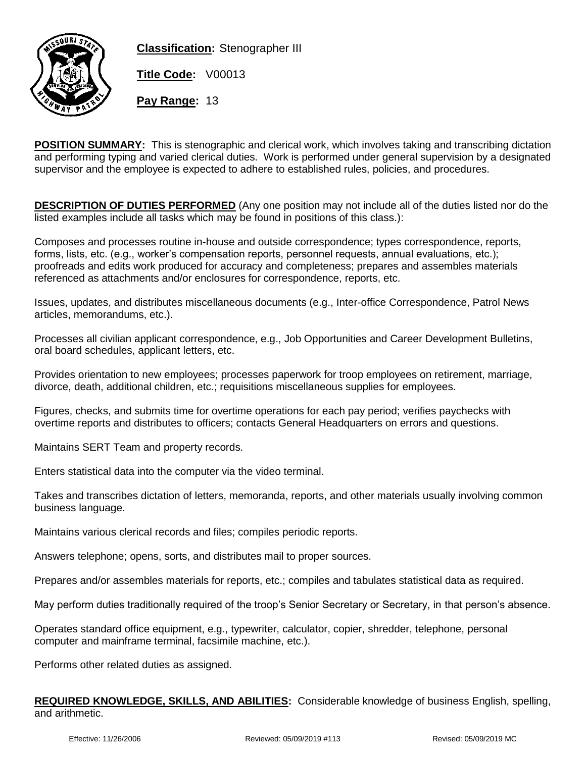

**Classification:** Stenographer III

**Title Code:** V00013

**Pay Range:** 13

**POSITION SUMMARY:** This is stenographic and clerical work, which involves taking and transcribing dictation and performing typing and varied clerical duties. Work is performed under general supervision by a designated supervisor and the employee is expected to adhere to established rules, policies, and procedures.

**DESCRIPTION OF DUTIES PERFORMED** (Any one position may not include all of the duties listed nor do the listed examples include all tasks which may be found in positions of this class.):

Composes and processes routine in-house and outside correspondence; types correspondence, reports, forms, lists, etc. (e.g., worker's compensation reports, personnel requests, annual evaluations, etc.); proofreads and edits work produced for accuracy and completeness; prepares and assembles materials referenced as attachments and/or enclosures for correspondence, reports, etc.

Issues, updates, and distributes miscellaneous documents (e.g., Inter-office Correspondence, Patrol News articles, memorandums, etc.).

Processes all civilian applicant correspondence, e.g., Job Opportunities and Career Development Bulletins, oral board schedules, applicant letters, etc.

Provides orientation to new employees; processes paperwork for troop employees on retirement, marriage, divorce, death, additional children, etc.; requisitions miscellaneous supplies for employees.

Figures, checks, and submits time for overtime operations for each pay period; verifies paychecks with overtime reports and distributes to officers; contacts General Headquarters on errors and questions.

Maintains SERT Team and property records.

Enters statistical data into the computer via the video terminal.

Takes and transcribes dictation of letters, memoranda, reports, and other materials usually involving common business language.

Maintains various clerical records and files; compiles periodic reports.

Answers telephone; opens, sorts, and distributes mail to proper sources.

Prepares and/or assembles materials for reports, etc.; compiles and tabulates statistical data as required.

May perform duties traditionally required of the troop's Senior Secretary or Secretary, in that person's absence.

Operates standard office equipment, e.g., typewriter, calculator, copier, shredder, telephone, personal computer and mainframe terminal, facsimile machine, etc.).

Performs other related duties as assigned.

**REQUIRED KNOWLEDGE, SKILLS, AND ABILITIES:** Considerable knowledge of business English, spelling, and arithmetic.